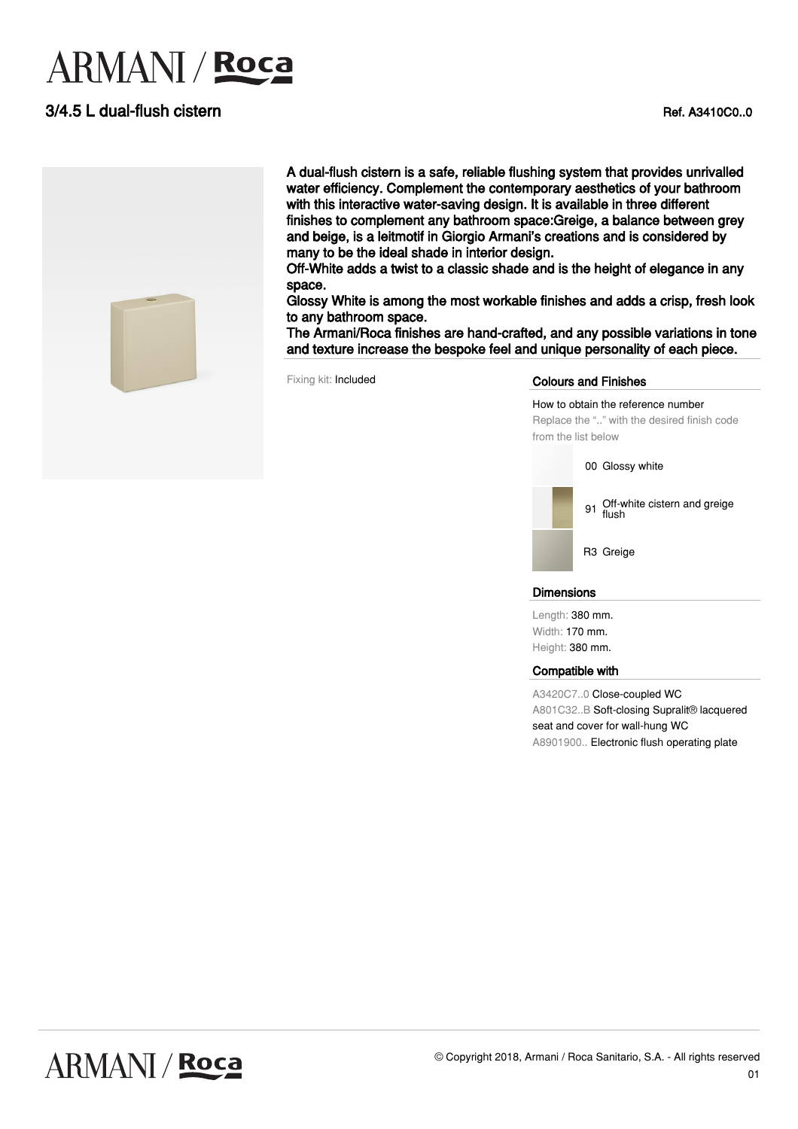# **ARMANI** / Roca

### 3/4.5 L dual-flush cistern **Ref. A3410C0..0**



A dual-flush cistern is a safe, reliable flushing system that provides unrivalled water efficiency. Complement the contemporary aesthetics of your bathroom with this interactive water-saving design. It is available in three different finishes to complement any bathroom space:Greige, a balance between grey and beige, is a leitmotif in Giorgio Armani's creations and is considered by many to be the ideal shade in interior design.

Off-White adds a twist to a classic shade and is the height of elegance in any space.

Glossy White is among the most workable finishes and adds a crisp, fresh look to any bathroom space.

The Armani/Roca finishes are hand-crafted, and any possible variations in tone and texture increase the bespoke feel and unique personality of each piece.

#### Fixing kit: Included **Colours and Finishes**

How to obtain the reference number Replace the ".." with the desired finish code from the list below

00 Glossy white



#### **Dimensions**

Length: 380 mm. Width: 170 mm. Height: 380 mm.

#### Compatible with

A3420C7..0 Close-coupled WC A801C32..B Soft-closing Supralit® lacquered seat and cover for wall-hung WC A8901900.. Electronic flush operating plate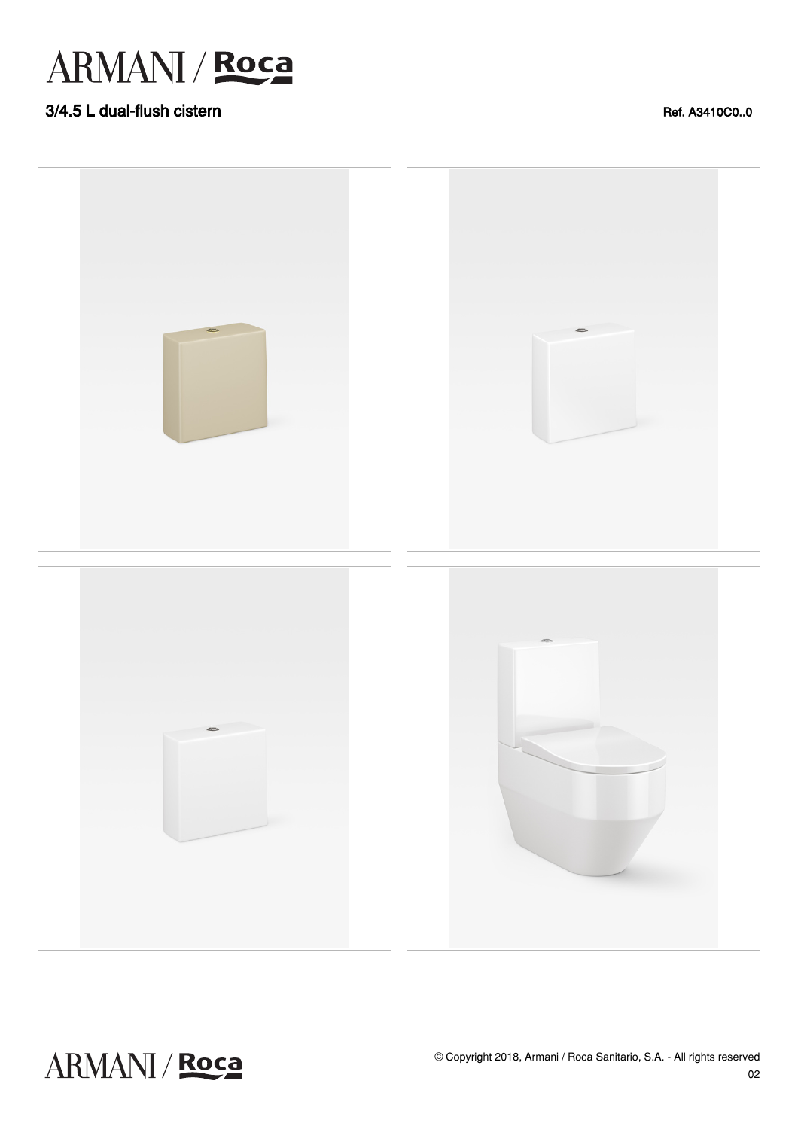## ARMANI / Roca

### 3/4.5 L dual-flush cistern and the control of the control of the control of the control of the control of the control of the control of the control of the control of the control of the control of the control of the control



ARMANI / Roca